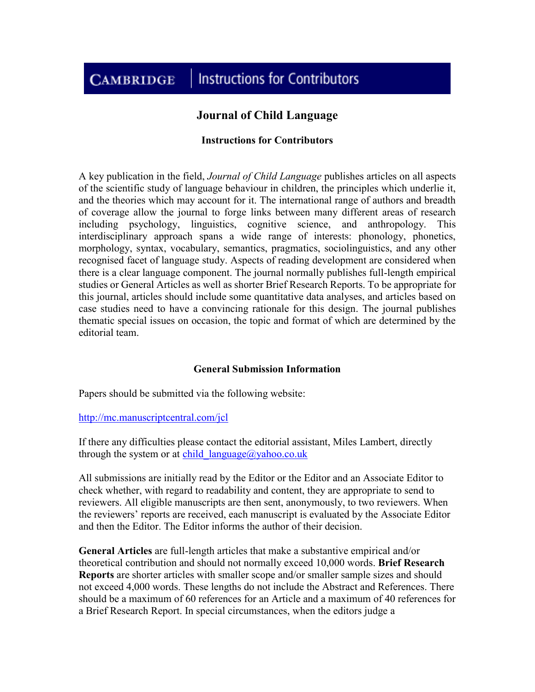#### **Instructions for Contributors CAMBRIDGE**

# **Journal of Child Language**

#### **Instructions for Contributors**

A key publication in the field, *Journal of Child Language* publishes articles on all aspects of the scientific study of language behaviour in children, the principles which underlie it, and the theories which may account for it. The international range of authors and breadth of coverage allow the journal to forge links between many different areas of research including psychology, linguistics, cognitive science, and anthropology. This interdisciplinary approach spans a wide range of interests: phonology, phonetics, morphology, syntax, vocabulary, semantics, pragmatics, sociolinguistics, and any other recognised facet of language study. Aspects of reading development are considered when there is a clear language component. The journal normally publishes full-length empirical studies or General Articles as well as shorter Brief Research Reports. To be appropriate for this journal, articles should include some quantitative data analyses, and articles based on case studies need to have a convincing rationale for this design. The journal publishes thematic special issues on occasion, the topic and format of which are determined by the editorial team.

#### **General Submission Information**

Papers should be submitted via the following website:

<http://mc.manuscriptcentral.com/jcl>

If there any difficulties please contact the editorial assistant, Miles Lambert, directly through the system or at child  $language@yahoo.co.uk$ 

All submissions are initially read by the Editor or the Editor and an Associate Editor to check whether, with regard to readability and content, they are appropriate to send to reviewers. All eligible manuscripts are then sent, anonymously, to two reviewers. When the reviewers' reports are received, each manuscript is evaluated by the Associate Editor and then the Editor. The Editor informs the author of their decision.

**General Articles** are full-length articles that make a substantive empirical and/or theoretical contribution and should not normally exceed 10,000 words. **Brief Research Reports** are shorter articles with smaller scope and/or smaller sample sizes and should not exceed 4,000 words. These lengths do not include the Abstract and References. There should be a maximum of 60 references for an Article and a maximum of 40 references for a Brief Research Report. In special circumstances, when the editors judge a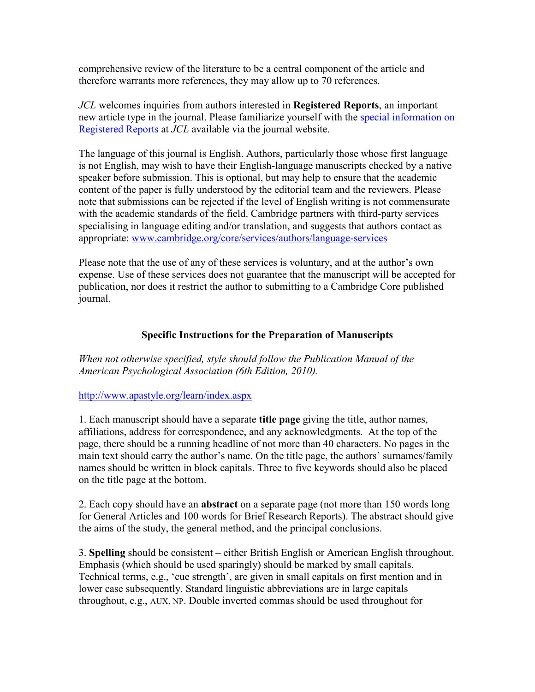comprehensive review of the literature to be a central component of the article and therefore warrants more references, they may allow up to 70 references.

*JCL* welcomes inquiries from authors interested in **Registered Reports**, an important new article type in the journal. Please familiarize yourself with the [special information on](https://www.cambridge.org/core/journals/journal-of-child-language/information/registered-reports-guidelines-for-authors-and-reviewers)  [Registered Reports](https://www.cambridge.org/core/journals/journal-of-child-language/information/registered-reports-guidelines-for-authors-and-reviewers) at *JCL* available via the journal website.

The language of this journal is English. Authors, particularly those whose first language is not English, may wish to have their English-language manuscripts checked by a native speaker before submission. This is optional, but may help to ensure that the academic content of the paper is fully understood by the editorial team and the reviewers. Please note that submissions can be rejected if the level of English writing is not commensurate with the academic standards of the field. Cambridge partners with third-party services specialising in language editing and/or translation, and suggests that authors contact as appropriate: [www.cambridge.org/core/services/authors/language-services](https://www.cambridge.org/core/services/authors/language-services)

Please note that the use of any of these services is voluntary, and at the author's own expense. Use of these services does not guarantee that the manuscript will be accepted for publication, nor does it restrict the author to submitting to a Cambridge Core published journal.

# **Specific Instructions for the Preparation of Manuscripts**

*When not otherwise specified, style should follow the Publication Manual of the American Psychological Association (6th Edition, 2010).* 

# <http://www.apastyle.org/learn/index.aspx>

1. Each manuscript should have a separate **title page** giving the title, author names, affiliations, address for correspondence, and any acknowledgments. At the top of the page, there should be a running headline of not more than 40 characters. No pages in the main text should carry the author's name. On the title page, the authors' surnames/family names should be written in block capitals. Three to five keywords should also be placed on the title page at the bottom.

2. Each copy should have an **abstract** on a separate page (not more than 150 words long for General Articles and 100 words for Brief Research Reports). The abstract should give the aims of the study, the general method, and the principal conclusions.

3. **Spelling** should be consistent – either British English or American English throughout. Emphasis (which should be used sparingly) should be marked by small capitals. Technical terms, e.g., 'cue strength', are given in small capitals on first mention and in lower case subsequently. Standard linguistic abbreviations are in large capitals throughout, e.g., AUX, NP. Double inverted commas should be used throughout for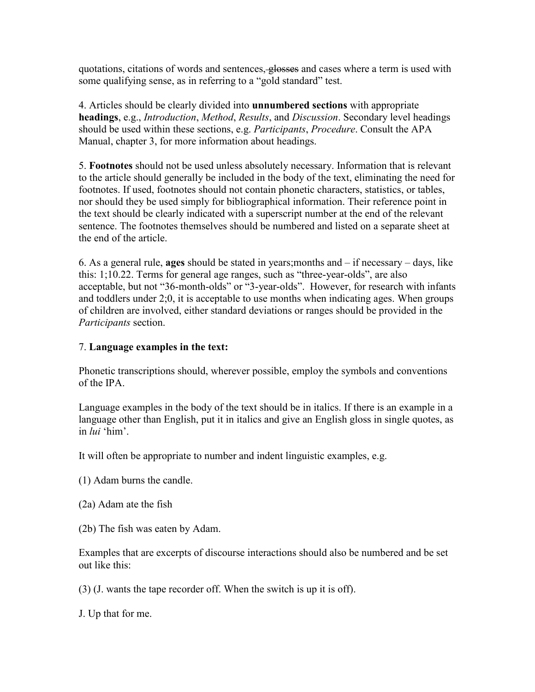quotations, citations of words and sentences, glosses and cases where a term is used with some qualifying sense, as in referring to a "gold standard" test.

4. Articles should be clearly divided into **unnumbered sections** with appropriate **headings**, e.g., *Introduction*, *Method*, *Results*, and *Discussion*. Secondary level headings should be used within these sections, e.g. *Participants*, *Procedure*. Consult the APA Manual, chapter 3, for more information about headings.

5. **Footnotes** should not be used unless absolutely necessary. Information that is relevant to the article should generally be included in the body of the text, eliminating the need for footnotes. If used, footnotes should not contain phonetic characters, statistics, or tables, nor should they be used simply for bibliographical information. Their reference point in the text should be clearly indicated with a superscript number at the end of the relevant sentence. The footnotes themselves should be numbered and listed on a separate sheet at the end of the article.

6. As a general rule, **ages** should be stated in years;months and – if necessary – days, like this: 1;10.22. Terms for general age ranges, such as "three-year-olds", are also acceptable, but not "36-month-olds" or "3-year-olds". However, for research with infants and toddlers under 2;0, it is acceptable to use months when indicating ages. When groups of children are involved, either standard deviations or ranges should be provided in the *Participants* section.

# 7. **Language examples in the text:**

Phonetic transcriptions should, wherever possible, employ the symbols and conventions of the IPA.

Language examples in the body of the text should be in italics. If there is an example in a language other than English, put it in italics and give an English gloss in single quotes, as in *lui* 'him'.

It will often be appropriate to number and indent linguistic examples, e.g.

- (1) Adam burns the candle.
- (2a) Adam ate the fish
- (2b) The fish was eaten by Adam.

Examples that are excerpts of discourse interactions should also be numbered and be set out like this:

(3) (J. wants the tape recorder off. When the switch is up it is off).

J. Up that for me.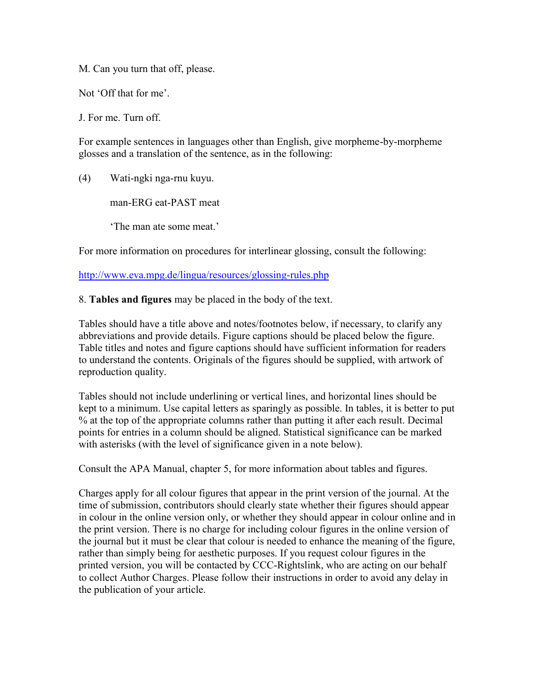M. Can you turn that off, please.

Not 'Off that for me'.

J. For me. Turn off.

For example sentences in languages other than English, give morpheme-by-morpheme glosses and a translation of the sentence, as in the following:

(4) Wati-ngki nga-rnu kuyu.

man-ERG eat-PAST meat

'The man ate some meat.'

For more information on procedures for interlinear glossing, consult the following:

<http://www.eva.mpg.de/lingua/resources/glossing-rules.php>

8. **Tables and figures** may be placed in the body of the text.

Tables should have a title above and notes/footnotes below, if necessary, to clarify any abbreviations and provide details. Figure captions should be placed below the figure. Table titles and notes and figure captions should have sufficient information for readers to understand the contents. Originals of the figures should be supplied, with artwork of reproduction quality.

Tables should not include underlining or vertical lines, and horizontal lines should be kept to a minimum. Use capital letters as sparingly as possible. In tables, it is better to put % at the top of the appropriate columns rather than putting it after each result. Decimal points for entries in a column should be aligned. Statistical significance can be marked with asterisks (with the level of significance given in a note below).

Consult the APA Manual, chapter 5, for more information about tables and figures.

Charges apply for all colour figures that appear in the print version of the journal. At the time of submission, contributors should clearly state whether their figures should appear in colour in the online version only, or whether they should appear in colour online and in the print version. There is no charge for including colour figures in the online version of the journal but it must be clear that colour is needed to enhance the meaning of the figure, rather than simply being for aesthetic purposes. If you request colour figures in the printed version, you will be contacted by CCC-Rightslink, who are acting on our behalf to collect Author Charges. Please follow their instructions in order to avoid any delay in the publication of your article.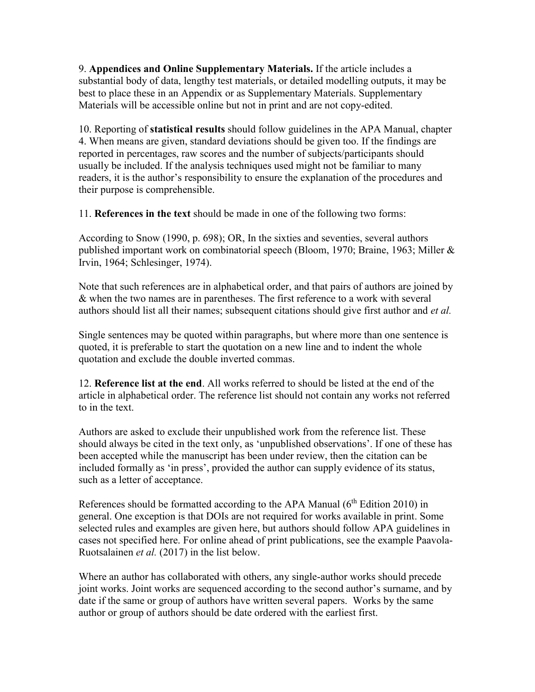9. **Appendices and Online Supplementary Materials.** If the article includes a substantial body of data, lengthy test materials, or detailed modelling outputs, it may be best to place these in an Appendix or as Supplementary Materials. Supplementary Materials will be accessible online but not in print and are not copy-edited.

10. Reporting of **statistical results** should follow guidelines in the APA Manual, chapter 4. When means are given, standard deviations should be given too. If the findings are reported in percentages, raw scores and the number of subjects/participants should usually be included. If the analysis techniques used might not be familiar to many readers, it is the author's responsibility to ensure the explanation of the procedures and their purpose is comprehensible.

11. **References in the text** should be made in one of the following two forms:

According to Snow (1990, p. 698); OR, In the sixties and seventies, several authors published important work on combinatorial speech (Bloom, 1970; Braine, 1963; Miller & Irvin, 1964; Schlesinger, 1974).

Note that such references are in alphabetical order, and that pairs of authors are joined by & when the two names are in parentheses. The first reference to a work with several authors should list all their names; subsequent citations should give first author and *et al.*

Single sentences may be quoted within paragraphs, but where more than one sentence is quoted, it is preferable to start the quotation on a new line and to indent the whole quotation and exclude the double inverted commas.

12. **Reference list at the end**. All works referred to should be listed at the end of the article in alphabetical order. The reference list should not contain any works not referred to in the text.

Authors are asked to exclude their unpublished work from the reference list. These should always be cited in the text only, as 'unpublished observations'. If one of these has been accepted while the manuscript has been under review, then the citation can be included formally as 'in press', provided the author can supply evidence of its status, such as a letter of acceptance.

References should be formatted according to the APA Manual  $(6<sup>th</sup> Edition 2010)$  in general. One exception is that DOIs are not required for works available in print. Some selected rules and examples are given here, but authors should follow APA guidelines in cases not specified here. For online ahead of print publications, see the example Paavola-Ruotsalainen *et al.* (2017) in the list below.

Where an author has collaborated with others, any single-author works should precede joint works. Joint works are sequenced according to the second author's surname, and by date if the same or group of authors have written several papers. Works by the same author or group of authors should be date ordered with the earliest first.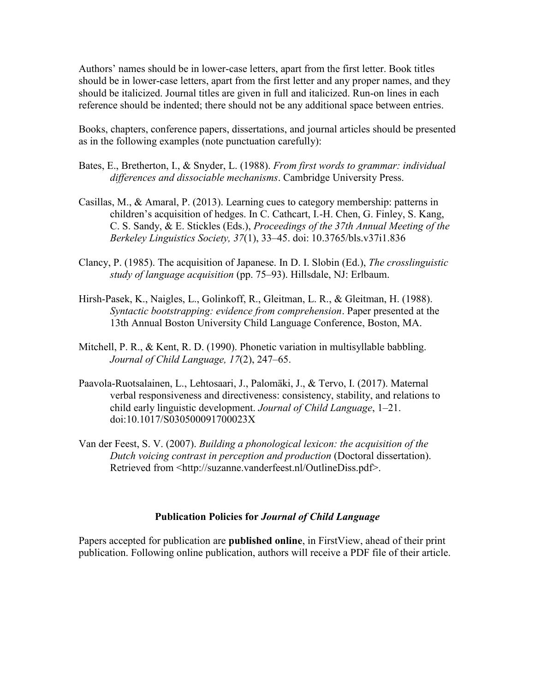Authors' names should be in lower-case letters, apart from the first letter. Book titles should be in lower-case letters, apart from the first letter and any proper names, and they should be italicized. Journal titles are given in full and italicized. Run-on lines in each reference should be indented; there should not be any additional space between entries.

Books, chapters, conference papers, dissertations, and journal articles should be presented as in the following examples (note punctuation carefully):

- Bates, E., Bretherton, I., & Snyder, L. (1988). *From first words to grammar: individual differences and dissociable mechanisms*. Cambridge University Press.
- Casillas, M., & Amaral, P. (2013). Learning cues to category membership: patterns in children's acquisition of hedges. In C. Cathcart, I.-H. Chen, G. Finley, S. Kang, C. S. Sandy, & E. Stickles (Eds.), *Proceedings of the 37th Annual Meeting of the Berkeley Linguistics Society, 37*(1), 33–45. doi: 10.3765/bls.v37i1.836
- Clancy, P. (1985). The acquisition of Japanese. In D. I. Slobin (Ed.), *The crosslinguistic study of language acquisition* (pp. 75–93). Hillsdale, NJ: Erlbaum.
- Hirsh-Pasek, K., Naigles, L., Golinkoff, R., Gleitman, L. R., & Gleitman, H. (1988). *Syntactic bootstrapping: evidence from comprehension*. Paper presented at the 13th Annual Boston University Child Language Conference, Boston, MA.
- Mitchell, P. R., & Kent, R. D. (1990). Phonetic variation in multisyllable babbling. *Journal of Child Language, 17*(2), 247–65.
- Paavola-Ruotsalainen, L., Lehtosaari, J., Palomäki, J., & Tervo, I. (2017). Maternal verbal responsiveness and directiveness: consistency, stability, and relations to child early linguistic development. *Journal of Child Language*, 1–21. doi:10.1017/S030500091700023X
- Van der Feest, S. V. (2007). *Building a phonological lexicon: the acquisition of the Dutch voicing contrast in perception and production* (Doctoral dissertation). Retrieved from <http://suzanne.vanderfeest.nl/OutlineDiss.pdf>.

#### **Publication Policies for** *Journal of Child Language*

Papers accepted for publication are **published online**, in FirstView, ahead of their print publication. Following online publication, authors will receive a PDF file of their article.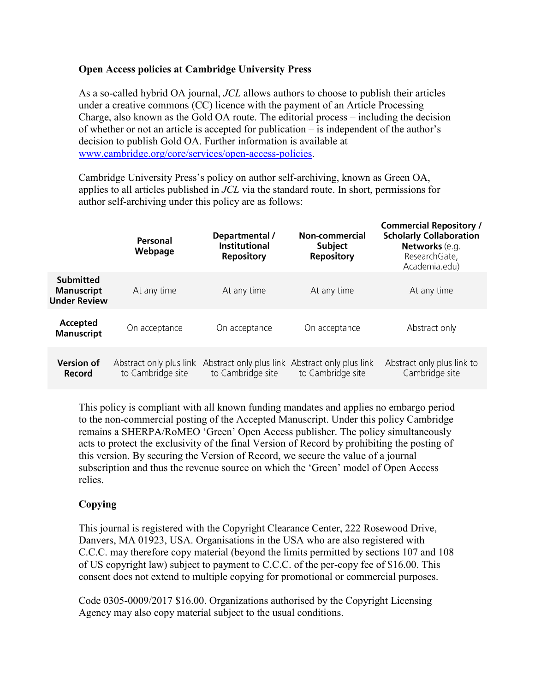# **Open Access policies at Cambridge University Press**

As a so-called hybrid OA journal, *JCL* allows authors to choose to publish their articles under a creative commons (CC) licence with the payment of an Article Processing Charge, also known as the Gold OA route. The editorial process – including the decision of whether or not an article is accepted for publication – is independent of the author's decision to publish Gold OA. Further information is available at [www.cambridge.org/core/services/open-access-policies.](https://www.cambridge.org/core/services/open-access-policies)

Cambridge University Press's policy on author self-archiving, known as Green OA, applies to all articles published in *JCL* via the standard route. In short, permissions for author self-archiving under this policy are as follows:

|                                                              | Personal<br>Webpage                          | Departmental /<br><b>Institutional</b><br><b>Repository</b> | Non-commercial<br><b>Subject</b><br><b>Repository</b> | <b>Commercial Repository /</b><br><b>Scholarly Collaboration</b><br>Networks (e.g.<br>ResearchGate,<br>Academia.edu) |
|--------------------------------------------------------------|----------------------------------------------|-------------------------------------------------------------|-------------------------------------------------------|----------------------------------------------------------------------------------------------------------------------|
| <b>Submitted</b><br><b>Manuscript</b><br><b>Under Review</b> | At any time                                  | At any time                                                 | At any time                                           | At any time                                                                                                          |
| Accepted<br><b>Manuscript</b>                                | On acceptance                                | On acceptance                                               | On acceptance                                         | Abstract only                                                                                                        |
| <b>Version of</b><br>Record                                  | Abstract only plus link<br>to Cambridge site | Abstract only plus link<br>to Cambridge site                | Abstract only plus link<br>to Cambridge site          | Abstract only plus link to<br>Cambridge site                                                                         |

This policy is compliant with all known funding mandates and applies no embargo period to the non-commercial posting of the Accepted Manuscript. Under this policy Cambridge remains a SHERPA/RoMEO 'Green' Open Access publisher. The policy simultaneously acts to protect the exclusivity of the final Version of Record by prohibiting the posting of this version. By securing the Version of Record, we secure the value of a journal subscription and thus the revenue source on which the 'Green' model of Open Access relies.

# **Copying**

This journal is registered with the Copyright Clearance Center, 222 Rosewood Drive, Danvers, MA 01923, USA. Organisations in the USA who are also registered with C.C.C. may therefore copy material (beyond the limits permitted by sections 107 and 108 of US copyright law) subject to payment to C.C.C. of the per-copy fee of \$16.00. This consent does not extend to multiple copying for promotional or commercial purposes.

Code 0305-0009/2017 \$16.00. Organizations authorised by the Copyright Licensing Agency may also copy material subject to the usual conditions.